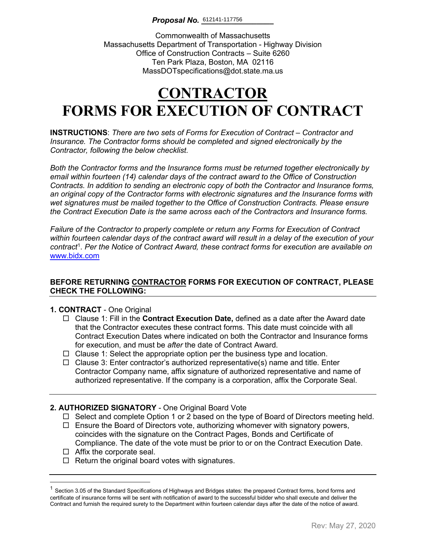### *Proposal No.*  $\underline{612141-117756}$

Commonwealth of Massachusetts Massachusetts Department of Transportation - Highway Division Office of Construction Contracts – Suite 6260 Ten Park Plaza, Boston, MA 02116 MassDOTspecifications@dot.state.ma.us

# **CONTRACTOR FORMS FOR EXECUTION OF CONTRACT**

**INSTRUCTIONS**: *There are two sets of Forms for Execution of Contract – Contractor and Insurance. The Contractor forms should be completed and signed electronically by the Contractor, following the below checklist.* 

*Both the Contractor forms and the Insurance forms must be returned together electronically by email within fourteen (14) calendar days of the contract award to the Office of Construction Contracts. In addition to sending an electronic copy of both the Contractor and Insurance forms, an original copy of the Contractor forms with electronic signatures and the Insurance forms with wet signatures must be mailed together to the Office of Construction Contracts. Please ensure the Contract Execution Date is the same across each of the Contractors and Insurance forms.*

*Failure of the Contractor to properly complete or return any Forms for Execution of Contract within fourteen calendar days of the contract award will result in a delay of the execution of your contract*[1](#page-0-0) . *Per the Notice of Contract Award, these contract forms for execution are available on*  [www.bidx.com](http://www.bidx.com/)

### **BEFORE RETURNING CONTRACTOR FORMS FOR EXECUTION OF CONTRACT, PLEASE CHECK THE FOLLOWING:**

### **1. CONTRACT** - One Original

- Clause 1: Fill in the **Contract Execution Date,** defined as a date after the Award date that the Contractor executes these contract forms. This date must coincide with all Contract Execution Dates where indicated on both the Contractor and Insurance forms for execution, and must be *after* the date of Contract Award.
- $\Box$  Clause 1: Select the appropriate option per the business type and location.
- $\Box$  Clause 3: Enter contractor's authorized representative(s) name and title. Enter Contractor Company name, affix signature of authorized representative and name of authorized representative. If the company is a corporation, affix the Corporate Seal.

### **2. AUTHORIZED SIGNATORY** - One Original Board Vote

- $\Box$  Select and complete Option 1 or 2 based on the type of Board of Directors meeting held.
- $\Box$  Ensure the Board of Directors vote, authorizing whomever with signatory powers, coincides with the signature on the Contract Pages, Bonds and Certificate of Compliance. The date of the vote must be prior to or on the Contract Execution Date.
- $\Box$  Affix the corporate seal.
- $\Box$  Return the original board votes with signatures.

<span id="page-0-0"></span> $1$  Section 3.05 of the Standard Specifications of Highways and Bridges states: the prepared Contract forms, bond forms and certificate of insurance forms will be sent with notification of award to the successful bidder who shall execute and deliver the Contract and furnish the required surety to the Department within fourteen calendar days after the date of the notice of award.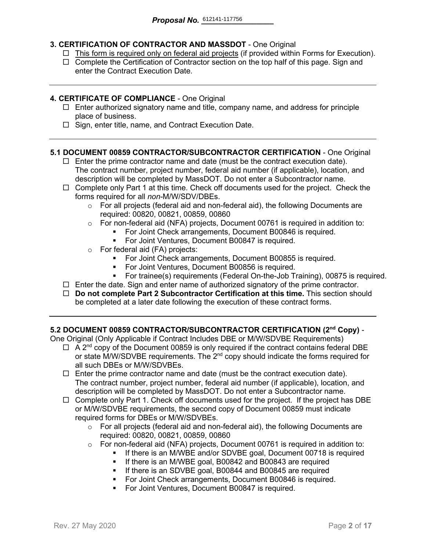### **3. CERTIFICATION OF CONTRACTOR AND MASSDOT** - One Original

- $\Box$  This form is required only on federal aid projects (if provided within Forms for Execution).
- $\Box$  Complete the Certification of Contractor section on the top half of this page. Sign and enter the Contract Execution Date.

### **4. CERTIFICATE OF COMPLIANCE** - One Original

- $\Box$  Enter authorized signatory name and title, company name, and address for principle place of business.
- $\Box$  Sign, enter title, name, and Contract Execution Date.

### **5.1 DOCUMENT 00859 CONTRACTOR/SUBCONTRACTOR CERTIFICATION** - One Original

- $\Box$  Enter the prime contractor name and date (must be the contract execution date). The contract number, project number, federal aid number (if applicable), location, and description will be completed by MassDOT. Do not enter a Subcontractor name.
- $\Box$  Complete only Part 1 at this time. Check off documents used for the project. Check the forms required for all *non-*M/W/SDV/DBEs.
	- $\circ$  For all projects (federal aid and non-federal aid), the following Documents are required: 00820, 00821, 00859, 00860
	- o For non-federal aid (NFA) projects, Document 00761 is required in addition to:
		- For Joint Check arrangements, Document B00846 is required.
		- **For Joint Ventures, Document B00847 is required.**
	- o For federal aid (FA) projects:
		- **For Joint Check arrangements, Document B00855 is required.**
		- For Joint Ventures, Document B00856 is required.
		- For trainee(s) requirements (Federal On-the-Job Training), 00875 is required.
- $\Box$  Enter the date. Sign and enter name of authorized signatory of the prime contractor.
- **Do not complete Part 2 Subcontractor Certification at this time.** This section should be completed at a later date following the execution of these contract forms.

### **5.2 DOCUMENT 00859 CONTRACTOR/SUBCONTRACTOR CERTIFICATION (2nd Copy)** -

One Original (Only Applicable if Contract Includes DBE or M/W/SDVBE Requirements)

- $\Box$  A 2<sup>nd</sup> copy of the Document 00859 is only required if the contract contains federal DBE or state M/W/SDVBE requirements. The  $2^{nd}$  copy should indicate the forms required for all such DBEs or M/W/SDVBEs.
- $\Box$  Enter the prime contractor name and date (must be the contract execution date). The contract number, project number, federal aid number (if applicable), location, and description will be completed by MassDOT. Do not enter a Subcontractor name.
- $\Box$  Complete only Part 1. Check off documents used for the project. If the project has DBE or M/W/SDVBE requirements, the second copy of Document 00859 must indicate required forms for DBEs or M/W/SDVBEs.
	- $\circ$  For all projects (federal aid and non-federal aid), the following Documents are required: 00820, 00821, 00859, 00860
	- o For non-federal aid (NFA) projects, Document 00761 is required in addition to:
		- If there is an M/WBE and/or SDVBE goal, Document 00718 is required
			- **If there is an M/WBE goal, B00842 and B00843 are required**
		- **If there is an SDVBE goal, B00844 and B00845 are required**
		- **For Joint Check arrangements, Document B00846 is required.**
		- **For Joint Ventures, Document B00847 is required.**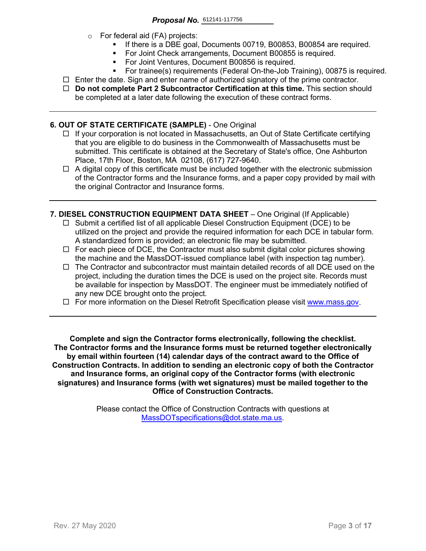- o For federal aid (FA) projects:
	- If there is a DBE goal, Documents 00719, B00853, B00854 are required.
	- For Joint Check arrangements, Document B00855 is required.
	- **For Joint Ventures, Document B00856 is required.**
	- For trainee(s) requirements (Federal On-the-Job Training), 00875 is required.
- $\Box$  Enter the date. Sign and enter name of authorized signatory of the prime contractor.
- **Do not complete Part 2 Subcontractor Certification at this time.** This section should be completed at a later date following the execution of these contract forms.

### **6. OUT OF STATE CERTIFICATE (SAMPLE)** - One Original

- $\Box$  If your corporation is not located in Massachusetts, an Out of State Certificate certifying that you are eligible to do business in the Commonwealth of Massachusetts must be submitted. This certificate is obtained at the Secretary of State's office, One Ashburton Place, 17th Floor, Boston, MA 02108, (617) 727-9640.
- $\Box$  A digital copy of this certificate must be included together with the electronic submission of the Contractor forms and the Insurance forms, and a paper copy provided by mail with the original Contractor and Insurance forms.
- **7. DIESEL CONSTRUCTION EQUIPMENT DATA SHEET** One Original (If Applicable)
	- $\Box$  Submit a certified list of all applicable Diesel Construction Equipment (DCE) to be utilized on the project and provide the required information for each DCE in tabular form. A standardized form is provided; an electronic file may be submitted.
	- $\Box$  For each piece of DCE, the Contractor must also submit digital color pictures showing the machine and the MassDOT-issued compliance label (with inspection tag number).
	- $\Box$  The Contractor and subcontractor must maintain detailed records of all DCE used on the project, including the duration times the DCE is used on the project site. Records must be available for inspection by MassDOT. The engineer must be immediately notified of any new DCE brought onto the project.
	- $\Box$  For more information on the Diesel Retrofit Specification please visit [www.mass.gov.](https://www.mass.gov/service-details/massdot-diesel-retrofit-specification)

**Complete and sign the Contractor forms electronically, following the checklist. The Contractor forms and the Insurance forms must be returned together electronically by email within fourteen (14) calendar days of the contract award to the Office of Construction Contracts. In addition to sending an electronic copy of both the Contractor and Insurance forms, an original copy of the Contractor forms (with electronic signatures) and Insurance forms (with wet signatures) must be mailed together to the Office of Construction Contracts.**

> Please contact the Office of Construction Contracts with questions at [MassDOTspecifications@dot.state.ma.us.](mailto:MassDOTspecifications@dot.state.ma.us)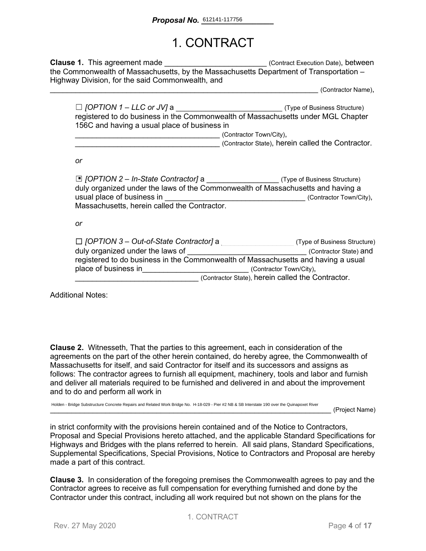# 1. CONTRACT

**Clause 1.** This agreement made **Execution Datel** (Contract Execution Date), between the Commonwealth of Massachusetts, by the Massachusetts Department of Transportation – Highway Division, for the said Commonwealth, and

\_\_\_\_\_\_\_\_\_\_\_\_\_\_\_\_\_\_\_\_\_\_\_\_\_\_\_\_\_\_\_\_\_\_\_\_\_\_\_\_\_\_\_\_\_\_\_\_\_\_\_\_\_\_\_\_\_\_\_\_\_\_\_ (Contractor Name),

| $\Box$ [OPTION 1 – LLC or JV] a                                                  | (Type of Business Structure) |
|----------------------------------------------------------------------------------|------------------------------|
| registered to do business in the Commonwealth of Massachusetts under MGL Chapter |                              |
| 156C and having a usual place of business in                                     |                              |
|                                                                                  | (Contractor Town/City),      |

\_\_\_\_\_\_\_\_\_\_\_\_\_\_\_\_\_\_\_\_\_\_\_\_\_\_\_\_\_\_\_\_\_\_ (Contractor State), herein called the Contractor.

*or*

| □ [OPTION 2 - In-State Contractor] a ______________________(Type of Business Structure)<br>duly organized under the laws of the Commonwealth of Massachusetts and having a<br>usual place of business in | (Contractor Town/City),      |
|----------------------------------------------------------------------------------------------------------------------------------------------------------------------------------------------------------|------------------------------|
| Massachusetts, herein called the Contractor.                                                                                                                                                             |                              |
| or                                                                                                                                                                                                       |                              |
| $\Box$ [OPTION 3 – Out-of-State Contractor] a                                                                                                                                                            | (Type of Business Structure) |
| duly organized under the laws of                                                                                                                                                                         | (Contractor State) and       |
| registered to do business in the Commonwealth of Massachusetts and having a usual                                                                                                                        |                              |
| place of business in                                                                                                                                                                                     | (Contractor Town/City),      |
|                                                                                                                                                                                                          |                              |

(Contractor State), herein called the Contractor.

Additional Notes:

**Clause 2.** Witnesseth, That the parties to this agreement, each in consideration of the agreements on the part of the other herein contained, do hereby agree, the Commonwealth of Massachusetts for itself, and said Contractor for itself and its successors and assigns as follows: The contractor agrees to furnish all equipment, machinery, tools and labor and furnish and deliver all materials required to be furnished and delivered in and about the improvement and to do and perform all work in

Holden - Bridge Substructure Concrete Repairs and Related Work Bridge No. H-18-029 - Pier #2 NB & SB Interstate 190 over the Quinapoxet River

\_\_\_\_\_\_\_\_\_\_\_\_\_\_\_\_\_\_\_\_\_\_\_\_\_\_\_\_\_\_\_\_\_\_\_\_\_\_\_\_\_\_\_\_\_\_\_\_\_\_\_\_\_\_\_\_\_\_\_\_\_\_\_\_\_\_ (Project Name)

in strict conformity with the provisions herein contained and of the Notice to Contractors, Proposal and Special Provisions hereto attached, and the applicable Standard Specifications for Highways and Bridges with the plans referred to herein. All said plans, Standard Specifications, Supplemental Specifications, Special Provisions, Notice to Contractors and Proposal are hereby made a part of this contract.

**Clause 3.** In consideration of the foregoing premises the Commonwealth agrees to pay and the Contractor agrees to receive as full compensation for everything furnished and done by the Contractor under this contract, including all work required but not shown on the plans for the

1. CONTRACT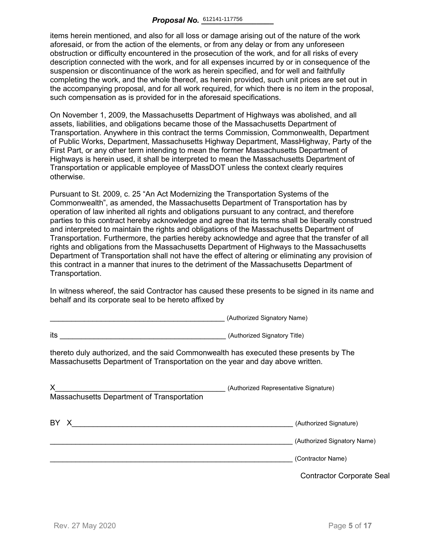items herein mentioned, and also for all loss or damage arising out of the nature of the work aforesaid, or from the action of the elements, or from any delay or from any unforeseen obstruction or difficulty encountered in the prosecution of the work, and for all risks of every description connected with the work, and for all expenses incurred by or in consequence of the suspension or discontinuance of the work as herein specified, and for well and faithfully completing the work, and the whole thereof, as herein provided, such unit prices are set out in the accompanying proposal, and for all work required, for which there is no item in the proposal, such compensation as is provided for in the aforesaid specifications.

On November 1, 2009, the Massachusetts Department of Highways was abolished, and all assets, liabilities, and obligations became those of the Massachusetts Department of Transportation. Anywhere in this contract the terms Commission, Commonwealth, Department of Public Works, Department, Massachusetts Highway Department, MassHighway, Party of the First Part, or any other term intending to mean the former Massachusetts Department of Highways is herein used, it shall be interpreted to mean the Massachusetts Department of Transportation or applicable employee of MassDOT unless the context clearly requires otherwise.

Pursuant to St. 2009, c. 25 "An Act Modernizing the Transportation Systems of the Commonwealth", as amended, the Massachusetts Department of Transportation has by operation of law inherited all rights and obligations pursuant to any contract, and therefore parties to this contract hereby acknowledge and agree that its terms shall be liberally construed and interpreted to maintain the rights and obligations of the Massachusetts Department of Transportation. Furthermore, the parties hereby acknowledge and agree that the transfer of all rights and obligations from the Massachusetts Department of Highways to the Massachusetts Department of Transportation shall not have the effect of altering or eliminating any provision of this contract in a manner that inures to the detriment of the Massachusetts Department of Transportation.

In witness whereof, the said Contractor has caused these presents to be signed in its name and behalf and its corporate seal to be hereto affixed by

\_\_\_\_\_\_\_\_\_\_\_\_\_\_\_\_\_\_\_\_\_\_\_\_\_\_\_\_\_\_\_\_\_\_\_\_\_\_\_\_\_ (Authorized Signatory Name)

|                                                                                                                                                                        | $\alpha$                                         |
|------------------------------------------------------------------------------------------------------------------------------------------------------------------------|--------------------------------------------------|
| its<br><u> 1980 - Johann Barbara, martin amerikan basar dan berasal dalam basa dalam basar dalam basar dalam basar dala</u>                                            | (Authorized Signatory Title)                     |
| thereto duly authorized, and the said Commonwealth has executed these presents by The<br>Massachusetts Department of Transportation on the year and day above written. |                                                  |
| X.<br>Massachusetts Department of Transportation                                                                                                                       | (Authorized Representative Signature)            |
| BY X                                                                                                                                                                   | (Authorized Signature)                           |
|                                                                                                                                                                        | (Authorized Signatory Name)<br>(Contractor Name) |
|                                                                                                                                                                        | <b>Contractor Corporate Seal</b>                 |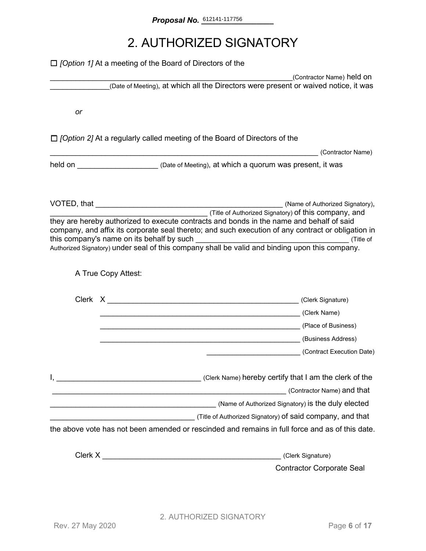# 2. AUTHORIZED SIGNATORY

|    | $\Box$ [Option 1] At a meeting of the Board of Directors of the                                                                                                                                                                                                                                                                                                 |                            |
|----|-----------------------------------------------------------------------------------------------------------------------------------------------------------------------------------------------------------------------------------------------------------------------------------------------------------------------------------------------------------------|----------------------------|
|    |                                                                                                                                                                                                                                                                                                                                                                 | (Contractor Name) held on  |
|    | (Date of Meeting), at which all the Directors were present or waived notice, it was                                                                                                                                                                                                                                                                             |                            |
| or |                                                                                                                                                                                                                                                                                                                                                                 |                            |
|    |                                                                                                                                                                                                                                                                                                                                                                 |                            |
|    | $\Box$ [Option 2] At a regularly called meeting of the Board of Directors of the                                                                                                                                                                                                                                                                                | (Contractor Name)          |
|    | held on <u>Netter Alexander (Date of Meeting), at which a quorum was present, it was</u>                                                                                                                                                                                                                                                                        |                            |
|    |                                                                                                                                                                                                                                                                                                                                                                 |                            |
|    | (Title of Authorized Signatory) <b>of this company, and</b><br>they are hereby authorized to execute contracts and bonds in the name and behalf of said<br>company, and affix its corporate seal thereto; and such execution of any contract or obligation in<br>Authorized Signatory) under seal of this company shall be valid and binding upon this company. |                            |
|    | A True Copy Attest:                                                                                                                                                                                                                                                                                                                                             |                            |
|    |                                                                                                                                                                                                                                                                                                                                                                 |                            |
|    | (Clerk Name) (Clerk Name)                                                                                                                                                                                                                                                                                                                                       |                            |
|    | Later Charles (Place of Business)                                                                                                                                                                                                                                                                                                                               |                            |
|    | (Business Address)                                                                                                                                                                                                                                                                                                                                              |                            |
|    | (Contract Execution Date)                                                                                                                                                                                                                                                                                                                                       |                            |
|    | <u> 1988 - Johann Stoff, deutscher Stoffen und der Stoffen und der Stoffen und der Stoffen und der Stoffen und d</u>                                                                                                                                                                                                                                            | (Contractor Name) and that |
|    |                                                                                                                                                                                                                                                                                                                                                                 |                            |
|    |                                                                                                                                                                                                                                                                                                                                                                 |                            |
|    | the above vote has not been amended or rescinded and remains in full force and as of this date.                                                                                                                                                                                                                                                                 |                            |
|    | (Clerk Signature)                                                                                                                                                                                                                                                                                                                                               |                            |
|    | <b>Contractor Corporate Seal</b>                                                                                                                                                                                                                                                                                                                                |                            |
|    |                                                                                                                                                                                                                                                                                                                                                                 |                            |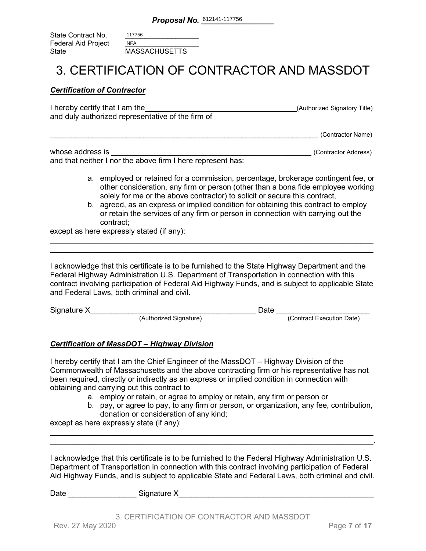| State Contract No.         | 117756               |
|----------------------------|----------------------|
| <b>Federal Aid Project</b> | <b>NFA</b>           |
| State                      | <b>MASSACHUSETTS</b> |

### 3. CERTIFICATION OF CONTRACTOR AND MASSDOT

### *Certification of Contractor*

| I hereby certify that I am the                    | (Authorized Signatory Title) |
|---------------------------------------------------|------------------------------|
| and duly authorized representative of the firm of |                              |
|                                                   |                              |

\_\_\_\_\_\_\_\_\_\_\_\_\_\_\_\_\_\_\_\_\_\_\_\_\_\_\_\_\_\_\_\_\_\_\_\_\_\_\_\_\_\_\_\_\_\_\_\_\_\_\_\_\_\_\_\_\_\_\_\_\_\_\_ (Contractor Name)

| whose address is                                            | (Contractor Address) |
|-------------------------------------------------------------|----------------------|
| and that neither I nor the above firm I here represent has: |                      |

- a. employed or retained for a commission, percentage, brokerage contingent fee, or other consideration, any firm or person (other than a bona fide employee working solely for me or the above contractor) to solicit or secure this contract,
- b. agreed, as an express or implied condition for obtaining this contract to employ or retain the services of any firm or person in connection with carrying out the contract;

except as here expressly stated (if any):

I acknowledge that this certificate is to be furnished to the State Highway Department and the Federal Highway Administration U.S. Department of Transportation in connection with this contract involving participation of Federal Aid Highway Funds, and is subject to applicable State and Federal Laws, both criminal and civil.

\_\_\_\_\_\_\_\_\_\_\_\_\_\_\_\_\_\_\_\_\_\_\_\_\_\_\_\_\_\_\_\_\_\_\_\_\_\_\_\_\_\_\_\_\_\_\_\_\_\_\_\_\_\_\_\_\_\_\_\_\_\_\_\_\_\_\_\_\_\_\_\_\_\_\_\_ \_\_\_\_\_\_\_\_\_\_\_\_\_\_\_\_\_\_\_\_\_\_\_\_\_\_\_\_\_\_\_\_\_\_\_\_\_\_\_\_\_\_\_\_\_\_\_\_\_\_\_\_\_\_\_\_\_\_\_\_\_\_\_\_\_\_\_\_\_\_\_\_\_\_\_\_

| Signature X |                        | )ate |                           |
|-------------|------------------------|------|---------------------------|
|             | (Authorized Signature) |      | (Contract Execution Date) |

### *Certification of MassDOT – Highway Division*

I hereby certify that I am the Chief Engineer of the MassDOT – Highway Division of the Commonwealth of Massachusetts and the above contracting firm or his representative has not been required, directly or indirectly as an express or implied condition in connection with obtaining and carrying out this contract to

- a. employ or retain, or agree to employ or retain, any firm or person or
- b. pay, or agree to pay, to any firm or person, or organization, any fee, contribution, donation or consideration of any kind;

except as here expressly state (if any):

I acknowledge that this certificate is to be furnished to the Federal Highway Administration U.S. Department of Transportation in connection with this contract involving participation of Federal Aid Highway Funds, and is subject to applicable State and Federal Laws, both criminal and civil.

\_\_\_\_\_\_\_\_\_\_\_\_\_\_\_\_\_\_\_\_\_\_\_\_\_\_\_\_\_\_\_\_\_\_\_\_\_\_\_\_\_\_\_\_\_\_\_\_\_\_\_\_\_\_\_\_\_\_\_\_\_\_\_\_\_\_\_\_\_\_\_\_\_\_\_\_ \_\_\_\_\_\_\_\_\_\_\_\_\_\_\_\_\_\_\_\_\_\_\_\_\_\_\_\_\_\_\_\_\_\_\_\_\_\_\_\_\_\_\_\_\_\_\_\_\_\_\_\_\_\_\_\_\_\_\_\_\_\_\_\_\_\_\_\_\_\_\_\_\_\_\_\_.

| Date<br>Signature X |
|---------------------|
|---------------------|

3. CERTIFICATION OF CONTRACTOR AND MASSDOT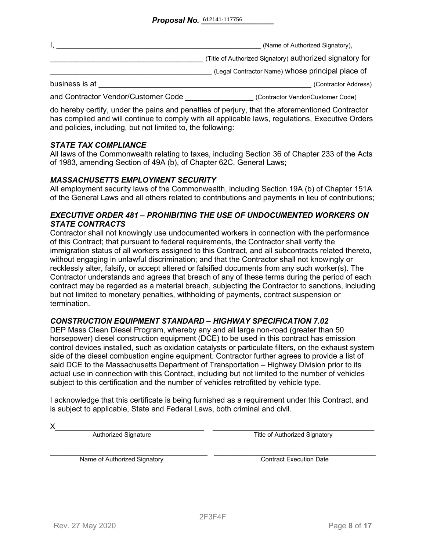|                                     | (Name of Authorized Signatory),                          |
|-------------------------------------|----------------------------------------------------------|
|                                     | (Title of Authorized Signatory) authorized signatory for |
|                                     | (Legal Contractor Name) whose principal place of         |
| business is at                      | (Contractor Address)                                     |
| and Contractor Vendor/Customer Code | (Contractor Vendor/Customer Code)                        |

do hereby certify, under the pains and penalties of perjury, that the aforementioned Contractor has complied and will continue to comply with all applicable laws, regulations, Executive Orders and policies, including, but not limited to, the following:

### *STATE TAX COMPLIANCE*

All laws of the Commonwealth relating to taxes, including Section 36 of Chapter 233 of the Acts of 1983, amending Section of 49A (b), of Chapter 62C, General Laws;

### *MASSACHUSETTS EMPLOYMENT SECURITY*

All employment security laws of the Commonwealth, including Section 19A (b) of Chapter 151A of the General Laws and all others related to contributions and payments in lieu of contributions;

### *EXECUTIVE ORDER 481 – PROHIBITING THE USE OF UNDOCUMENTED WORKERS ON STATE CONTRACTS*

Contractor shall not knowingly use undocumented workers in connection with the performance of this Contract; that pursuant to federal requirements, the Contractor shall verify the immigration status of all workers assigned to this Contract, and all subcontracts related thereto, without engaging in unlawful discrimination; and that the Contractor shall not knowingly or recklessly alter, falsify, or accept altered or falsified documents from any such worker(s). The Contractor understands and agrees that breach of any of these terms during the period of each contract may be regarded as a material breach, subjecting the Contractor to sanctions, including but not limited to monetary penalties, withholding of payments, contract suspension or termination.

### *CONSTRUCTION EQUIPMENT STANDARD – HIGHWAY SPECIFICATION 7.02*

DEP Mass Clean Diesel Program, whereby any and all large non-road (greater than 50 horsepower) diesel construction equipment (DCE) to be used in this contract has emission control devices installed, such as oxidation catalysts or particulate filters, on the exhaust system side of the diesel combustion engine equipment. Contractor further agrees to provide a list of said DCE to the Massachusetts Department of Transportation – Highway Division prior to its actual use in connection with this Contract, including but not limited to the number of vehicles subject to this certification and the number of vehicles retrofitted by vehicle type.

I acknowledge that this certificate is being furnished as a requirement under this Contract, and is subject to applicable, State and Federal Laws, both criminal and civil.

X\_\_\_\_\_\_\_\_\_\_\_\_\_\_\_\_\_\_\_\_\_\_\_\_\_\_\_\_\_\_\_\_\_\_\_ \_\_\_\_\_\_\_\_\_\_\_\_\_\_\_\_\_\_\_\_\_\_\_\_\_\_\_\_\_\_\_\_\_\_\_\_\_\_ Authorized Signature Title of Authorized Signatory

Name of Authorized Signatory **Execution Contract Execution Date**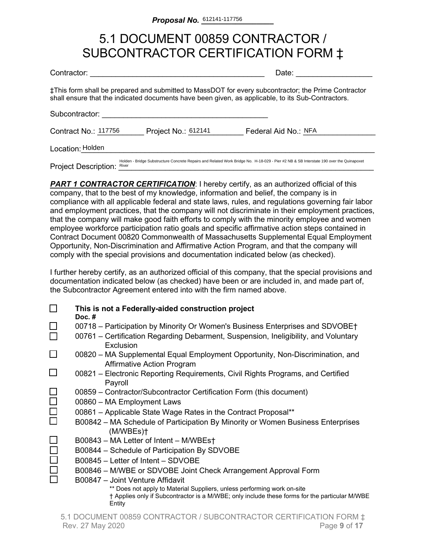# 5.1 DOCUMENT 00859 CONTRACTOR / SUBCONTRACTOR CERTIFICATION FORM ‡

| Contractor:                 |                     | Date:                                                                                                                                                                                                    |
|-----------------------------|---------------------|----------------------------------------------------------------------------------------------------------------------------------------------------------------------------------------------------------|
|                             |                     | ‡This form shall be prepared and submitted to MassDOT for every subcontractor; the Prime Contractor<br>shall ensure that the indicated documents have been given, as applicable, to its Sub-Contractors. |
| Subcontractor:              |                     |                                                                                                                                                                                                          |
| Contract No.: 117756        | Project No.: 612141 | Federal Aid No.: NFA                                                                                                                                                                                     |
| Location: Holden            |                     |                                                                                                                                                                                                          |
| <b>Project Description:</b> | River               | Holden - Bridge Substructure Concrete Repairs and Related Work Bridge No. H-18-029 - Pier #2 NB & SB Interstate 190 over the Quinapoxet                                                                  |

**PART 1 CONTRACTOR CERTIFICATION:** I hereby certify, as an authorized official of this company, that to the best of my knowledge, information and belief, the company is in compliance with all applicable federal and state laws, rules, and regulations governing fair labor and employment practices, that the company will not discriminate in their employment practices, that the company will make good faith efforts to comply with the minority employee and women employee workforce participation ratio goals and specific affirmative action steps contained in Contract Document 00820 Commonwealth of Massachusetts Supplemental Equal Employment Opportunity, Non-Discrimination and Affirmative Action Program, and that the company will comply with the special provisions and documentation indicated below (as checked).

I further hereby certify, as an authorized official of this company, that the special provisions and documentation indicated below (as checked) have been or are included in, and made part of, the Subcontractor Agreement entered into with the firm named above.

|        | This is not a Federally-aided construction project<br>Doc. $#$                                                                                                           |
|--------|--------------------------------------------------------------------------------------------------------------------------------------------------------------------------|
| ப      | 00718 – Participation by Minority Or Women's Business Enterprises and SDVOBE†<br>00761 – Certification Regarding Debarment, Suspension, Ineligibility, and Voluntary     |
|        | Exclusion                                                                                                                                                                |
| $\Box$ | 00820 – MA Supplemental Equal Employment Opportunity, Non-Discrimination, and<br><b>Affirmative Action Program</b>                                                       |
|        | 00821 – Electronic Reporting Requirements, Civil Rights Programs, and Certified<br>Payroll                                                                               |
|        | 00859 – Contractor/Subcontractor Certification Form (this document)                                                                                                      |
| $\Box$ | 00860 - MA Employment Laws                                                                                                                                               |
| $\Box$ | 00861 - Applicable State Wage Rates in the Contract Proposal**                                                                                                           |
|        | B00842 – MA Schedule of Participation By Minority or Women Business Enterprises<br>(M/WBEs)                                                                              |
|        | B00843 - MA Letter of Intent - M/WBEst                                                                                                                                   |
|        | B00844 – Schedule of Participation By SDVOBE                                                                                                                             |
|        | B00845 - Letter of Intent - SDVOBE                                                                                                                                       |
|        | B00846 - M/WBE or SDVOBE Joint Check Arrangement Approval Form                                                                                                           |
|        | B00847 - Joint Venture Affidavit                                                                                                                                         |
|        | ** Does not apply to Material Suppliers, unless performing work on-site<br>† Applies only if Subcontractor is a M/WBE; only include these forms for the particular M/WBE |
|        | Entity                                                                                                                                                                   |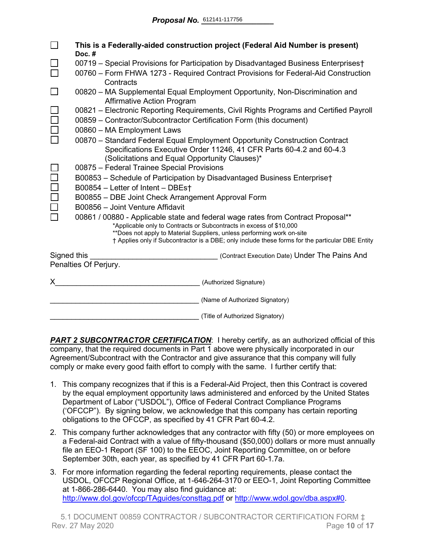|             | This is a Federally-aided construction project (Federal Aid Number is present)<br>Doc.#                                                                 |  |  |  |  |  |  |  |  |  |  |
|-------------|---------------------------------------------------------------------------------------------------------------------------------------------------------|--|--|--|--|--|--|--|--|--|--|
|             | 00719 - Special Provisions for Participation by Disadvantaged Business Enterprises†                                                                     |  |  |  |  |  |  |  |  |  |  |
|             | 00760 – Form FHWA 1273 - Required Contract Provisions for Federal-Aid Construction<br>Contracts                                                         |  |  |  |  |  |  |  |  |  |  |
|             | 00820 - MA Supplemental Equal Employment Opportunity, Non-Discrimination and<br><b>Affirmative Action Program</b>                                       |  |  |  |  |  |  |  |  |  |  |
|             | 00821 - Electronic Reporting Requirements, Civil Rights Programs and Certified Payroll                                                                  |  |  |  |  |  |  |  |  |  |  |
|             | 00859 - Contractor/Subcontractor Certification Form (this document)                                                                                     |  |  |  |  |  |  |  |  |  |  |
|             | 00860 - MA Employment Laws                                                                                                                              |  |  |  |  |  |  |  |  |  |  |
|             | 00870 - Standard Federal Equal Employment Opportunity Construction Contract                                                                             |  |  |  |  |  |  |  |  |  |  |
|             | Specifications Executive Order 11246, 41 CFR Parts 60-4.2 and 60-4.3                                                                                    |  |  |  |  |  |  |  |  |  |  |
|             | (Solicitations and Equal Opportunity Clauses)*                                                                                                          |  |  |  |  |  |  |  |  |  |  |
|             | 00875 - Federal Trainee Special Provisions                                                                                                              |  |  |  |  |  |  |  |  |  |  |
|             | B00853 - Schedule of Participation by Disadvantaged Business Enterprise†                                                                                |  |  |  |  |  |  |  |  |  |  |
|             | B00854 - Letter of Intent - DBEst                                                                                                                       |  |  |  |  |  |  |  |  |  |  |
|             | B00855 - DBE Joint Check Arrangement Approval Form<br>B00856 - Joint Venture Affidavit                                                                  |  |  |  |  |  |  |  |  |  |  |
|             |                                                                                                                                                         |  |  |  |  |  |  |  |  |  |  |
|             | 00861 / 00880 - Applicable state and federal wage rates from Contract Proposal**<br>*Applicable only to Contracts or Subcontracts in excess of \$10,000 |  |  |  |  |  |  |  |  |  |  |
|             | **Does not apply to Material Suppliers, unless performing work on-site                                                                                  |  |  |  |  |  |  |  |  |  |  |
|             | † Applies only if Subcontractor is a DBE; only include these forms for the particular DBE Entity                                                        |  |  |  |  |  |  |  |  |  |  |
| Signed this | (Contract Execution Date) Under The Pains And                                                                                                           |  |  |  |  |  |  |  |  |  |  |
|             | Penalties Of Perjury.                                                                                                                                   |  |  |  |  |  |  |  |  |  |  |
| X.          | (Authorized Signature)                                                                                                                                  |  |  |  |  |  |  |  |  |  |  |
|             | (Name of Authorized Signatory)                                                                                                                          |  |  |  |  |  |  |  |  |  |  |
|             | (Title of Authorized Signatory)                                                                                                                         |  |  |  |  |  |  |  |  |  |  |

**PART 2 SUBCONTRACTOR CERTIFICATION:** I hereby certify, as an authorized official of this company, that the required documents in Part 1 above were physically incorporated in our Agreement/Subcontract with the Contractor and give assurance that this company will fully comply or make every good faith effort to comply with the same. I further certify that:

- 1. This company recognizes that if this is a Federal-Aid Project, then this Contract is covered by the equal employment opportunity laws administered and enforced by the United States Department of Labor ("USDOL"), Office of Federal Contract Compliance Programs ('OFCCP"). By signing below, we acknowledge that this company has certain reporting obligations to the OFCCP, as specified by 41 CFR Part 60-4.2.
- 2. This company further acknowledges that any contractor with fifty (50) or more employees on a Federal-aid Contract with a value of fifty-thousand (\$50,000) dollars or more must annually file an EEO-1 Report (SF 100) to the EEOC, Joint Reporting Committee, on or before September 30th, each year, as specified by 41 CFR Part 60-1.7a.
- 3. For more information regarding the federal reporting requirements, please contact the USDOL, OFCCP Regional Office, at 1-646-264-3170 or EEO-1, Joint Reporting Committee at 1-866-286-6440. You may also find guidance at: <http://www.dol.gov/ofccp/TAguides/consttag.pdf> or [http://www.wdol.gov/dba.aspx#0.](http://www.wdol.gov/dba.aspx#0)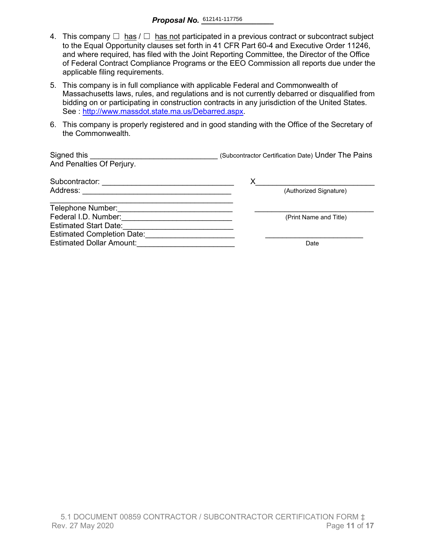- 4. This company  $\Box$  has  $\Box$  has not participated in a previous contract or subcontract subject to the Equal Opportunity clauses set forth in 41 CFR Part 60-4 and Executive Order 11246, and where required, has filed with the Joint Reporting Committee, the Director of the Office of Federal Contract Compliance Programs or the EEO Commission all reports due under the applicable filing requirements.
- 5. This company is in full compliance with applicable Federal and Commonwealth of Massachusetts laws, rules, and regulations and is not currently debarred or disqualified from bidding on or participating in construction contracts in any jurisdiction of the United States. See : http://www.massdot.state.ma.us/Debarred.aspx.
- 6. This company is properly registered and in good standing with the Office of the Secretary of the Commonwealth.

| Signed this<br>And Penalties Of Perjury. | (Subcontractor Certification Date) Under The Pains |
|------------------------------------------|----------------------------------------------------|
| Subcontractor:                           | Х                                                  |
| Address:                                 | (Authorized Signature)                             |
| Telephone Number:                        |                                                    |
| Federal I.D. Number:                     | (Print Name and Title)                             |
| <b>Estimated Start Date:</b>             |                                                    |
| <b>Estimated Completion Date:</b>        |                                                    |
| <b>Estimated Dollar Amount:</b>          | Date                                               |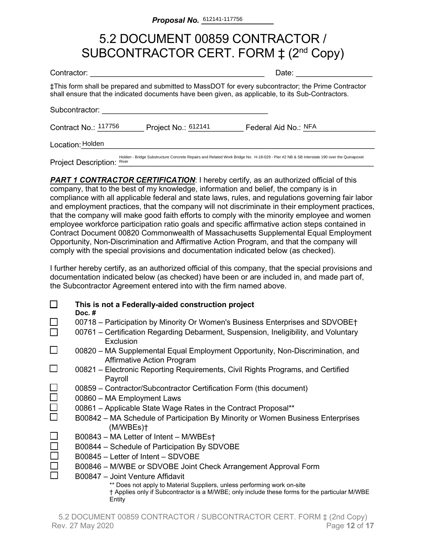# 5.2 DOCUMENT 00859 CONTRACTOR / SUBCONTRACTOR CERT. FORM  $\ddagger$  (2<sup>nd</sup> Copy)

| Contractor:                                                                                                                                                                                              | Date:                |  |  |  |  |  |  |  |
|----------------------------------------------------------------------------------------------------------------------------------------------------------------------------------------------------------|----------------------|--|--|--|--|--|--|--|
| ‡This form shall be prepared and submitted to MassDOT for every subcontractor; the Prime Contractor<br>shall ensure that the indicated documents have been given, as applicable, to its Sub-Contractors. |                      |  |  |  |  |  |  |  |
| Subcontractor:                                                                                                                                                                                           |                      |  |  |  |  |  |  |  |
| Contract No.: 117756<br>Project No.: 612141                                                                                                                                                              | Federal Aid No.: NFA |  |  |  |  |  |  |  |
| Location: Holden                                                                                                                                                                                         |                      |  |  |  |  |  |  |  |
| Holden - Bridge Substructure Concrete Repairs and Related Work Bridge No. H-18-029 - Pier #2 NB & SB Interstate 190 over the Quinapoxet<br><b>Project Description: River</b>                             |                      |  |  |  |  |  |  |  |

**PART 1 CONTRACTOR CERTIFICATION:** I hereby certify, as an authorized official of this company, that to the best of my knowledge, information and belief, the company is in compliance with all applicable federal and state laws, rules, and regulations governing fair labor and employment practices, that the company will not discriminate in their employment practices, that the company will make good faith efforts to comply with the minority employee and women employee workforce participation ratio goals and specific affirmative action steps contained in Contract Document 00820 Commonwealth of Massachusetts Supplemental Equal Employment Opportunity, Non-Discrimination and Affirmative Action Program, and that the company will comply with the special provisions and documentation indicated below (as checked).

I further hereby certify, as an authorized official of this company, that the special provisions and documentation indicated below (as checked) have been or are included in, and made part of, the Subcontractor Agreement entered into with the firm named above.

|        | This is not a Federally-aided construction project<br>Doc. $#$                                                                                                                     |
|--------|------------------------------------------------------------------------------------------------------------------------------------------------------------------------------------|
|        | 00718 – Participation by Minority Or Women's Business Enterprises and SDVOBE†                                                                                                      |
|        | 00761 – Certification Regarding Debarment, Suspension, Ineligibility, and Voluntary<br>Exclusion                                                                                   |
| $\Box$ | 00820 – MA Supplemental Equal Employment Opportunity, Non-Discrimination, and<br><b>Affirmative Action Program</b>                                                                 |
|        | 00821 – Electronic Reporting Requirements, Civil Rights Programs, and Certified<br>Payroll                                                                                         |
|        | 00859 – Contractor/Subcontractor Certification Form (this document)                                                                                                                |
|        | 00860 - MA Employment Laws                                                                                                                                                         |
| $\Box$ | 00861 – Applicable State Wage Rates in the Contract Proposal**                                                                                                                     |
|        | B00842 – MA Schedule of Participation By Minority or Women Business Enterprises<br>(M/WBEs)                                                                                        |
|        | B00843 – MA Letter of Intent – M/WBEst                                                                                                                                             |
|        | B00844 - Schedule of Participation By SDVOBE                                                                                                                                       |
|        | B00845 – Letter of Intent – SDVOBE                                                                                                                                                 |
|        | B00846 – M/WBE or SDVOBE Joint Check Arrangement Approval Form                                                                                                                     |
|        | B00847 - Joint Venture Affidavit                                                                                                                                                   |
|        | ** Does not apply to Material Suppliers, unless performing work on-site<br>† Applies only if Subcontractor is a M/WBE; only include these forms for the particular M/WBE<br>Entity |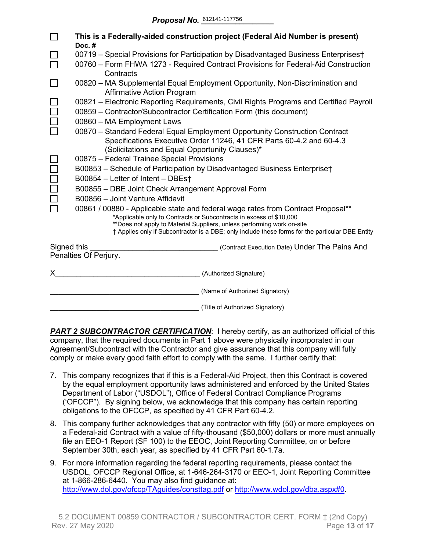|             | This is a Federally-aided construction project (Federal Aid Number is present)<br>Doc.#                                                                                                                                                                                                                                               |  |  |  |  |  |  |  |  |  |
|-------------|---------------------------------------------------------------------------------------------------------------------------------------------------------------------------------------------------------------------------------------------------------------------------------------------------------------------------------------|--|--|--|--|--|--|--|--|--|
|             | 00719 - Special Provisions for Participation by Disadvantaged Business Enterprises†                                                                                                                                                                                                                                                   |  |  |  |  |  |  |  |  |  |
|             | 00760 - Form FHWA 1273 - Required Contract Provisions for Federal-Aid Construction<br>Contracts                                                                                                                                                                                                                                       |  |  |  |  |  |  |  |  |  |
|             | 00820 – MA Supplemental Equal Employment Opportunity, Non-Discrimination and<br><b>Affirmative Action Program</b>                                                                                                                                                                                                                     |  |  |  |  |  |  |  |  |  |
|             | 00821 – Electronic Reporting Requirements, Civil Rights Programs and Certified Payroll<br>00859 - Contractor/Subcontractor Certification Form (this document)                                                                                                                                                                         |  |  |  |  |  |  |  |  |  |
|             | 00860 - MA Employment Laws                                                                                                                                                                                                                                                                                                            |  |  |  |  |  |  |  |  |  |
|             | 00870 - Standard Federal Equal Employment Opportunity Construction Contract<br>Specifications Executive Order 11246, 41 CFR Parts 60-4.2 and 60-4.3<br>(Solicitations and Equal Opportunity Clauses)*                                                                                                                                 |  |  |  |  |  |  |  |  |  |
|             | 00875 - Federal Trainee Special Provisions                                                                                                                                                                                                                                                                                            |  |  |  |  |  |  |  |  |  |
|             | B00853 - Schedule of Participation by Disadvantaged Business Enterprise†                                                                                                                                                                                                                                                              |  |  |  |  |  |  |  |  |  |
|             | B00854 - Letter of Intent - DBEst                                                                                                                                                                                                                                                                                                     |  |  |  |  |  |  |  |  |  |
|             | B00855 - DBE Joint Check Arrangement Approval Form                                                                                                                                                                                                                                                                                    |  |  |  |  |  |  |  |  |  |
|             | B00856 - Joint Venture Affidavit                                                                                                                                                                                                                                                                                                      |  |  |  |  |  |  |  |  |  |
|             | 00861 / 00880 - Applicable state and federal wage rates from Contract Proposal**<br>*Applicable only to Contracts or Subcontracts in excess of \$10,000<br>**Does not apply to Material Suppliers, unless performing work on-site<br>† Applies only if Subcontractor is a DBE; only include these forms for the particular DBE Entity |  |  |  |  |  |  |  |  |  |
| Signed this | (Contract Execution Date) Under The Pains And                                                                                                                                                                                                                                                                                         |  |  |  |  |  |  |  |  |  |
|             | Penalties Of Perjury.                                                                                                                                                                                                                                                                                                                 |  |  |  |  |  |  |  |  |  |
| X.          | (Authorized Signature)                                                                                                                                                                                                                                                                                                                |  |  |  |  |  |  |  |  |  |
|             | (Name of Authorized Signatory)                                                                                                                                                                                                                                                                                                        |  |  |  |  |  |  |  |  |  |
|             | (Title of Authorized Signatory)                                                                                                                                                                                                                                                                                                       |  |  |  |  |  |  |  |  |  |

**PART 2 SUBCONTRACTOR CERTIFICATION:** I hereby certify, as an authorized official of this company, that the required documents in Part 1 above were physically incorporated in our Agreement/Subcontract with the Contractor and give assurance that this company will fully comply or make every good faith effort to comply with the same. I further certify that:

- 7. This company recognizes that if this is a Federal-Aid Project, then this Contract is covered by the equal employment opportunity laws administered and enforced by the United States Department of Labor ("USDOL"), Office of Federal Contract Compliance Programs ('OFCCP"). By signing below, we acknowledge that this company has certain reporting obligations to the OFCCP, as specified by 41 CFR Part 60-4.2.
- 8. This company further acknowledges that any contractor with fifty (50) or more employees on a Federal-aid Contract with a value of fifty-thousand (\$50,000) dollars or more must annually file an EEO-1 Report (SF 100) to the EEOC, Joint Reporting Committee, on or before September 30th, each year, as specified by 41 CFR Part 60-1.7a.
- 9. For more information regarding the federal reporting requirements, please contact the USDOL, OFCCP Regional Office, at 1-646-264-3170 or EEO-1, Joint Reporting Committee at 1-866-286-6440. You may also find guidance at: <http://www.dol.gov/ofccp/TAguides/consttag.pdf> or [http://www.wdol.gov/dba.aspx#0.](http://www.wdol.gov/dba.aspx#0)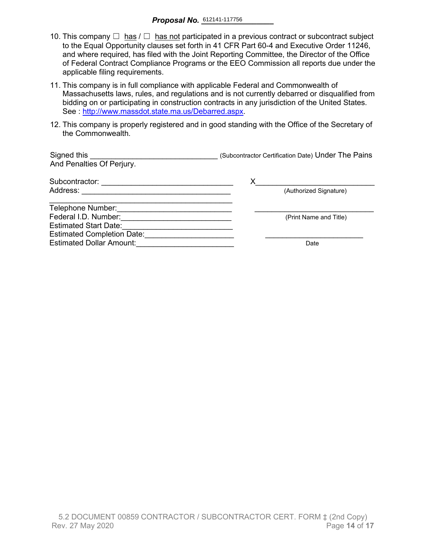- 10. This company  $\Box$  has  $\Box$  has not participated in a previous contract or subcontract subject to the Equal Opportunity clauses set forth in 41 CFR Part 60-4 and Executive Order 11246, and where required, has filed with the Joint Reporting Committee, the Director of the Office of Federal Contract Compliance Programs or the EEO Commission all reports due under the applicable filing requirements.
- 11. This company is in full compliance with applicable Federal and Commonwealth of Massachusetts laws, rules, and regulations and is not currently debarred or disqualified from bidding on or participating in construction contracts in any jurisdiction of the United States. See : [http://www.massdot.state.ma.us/Debarred.aspx.](http://www.massdot.state.ma.us/Debarred.aspx)
- 12. This company is properly registered and in good standing with the Office of the Secretary of the Commonwealth.

| Signed this<br>And Penalties Of Perjury. | (Subcontractor Certification Date) Under The Pains |
|------------------------------------------|----------------------------------------------------|
| Subcontractor:                           | х                                                  |
| Address:                                 | (Authorized Signature)                             |
| Telephone Number:                        |                                                    |
| Federal I.D. Number:                     | (Print Name and Title)                             |
| <b>Estimated Start Date:</b>             |                                                    |
| <b>Estimated Completion Date:</b>        |                                                    |
| <b>Estimated Dollar Amount:</b>          | Date                                               |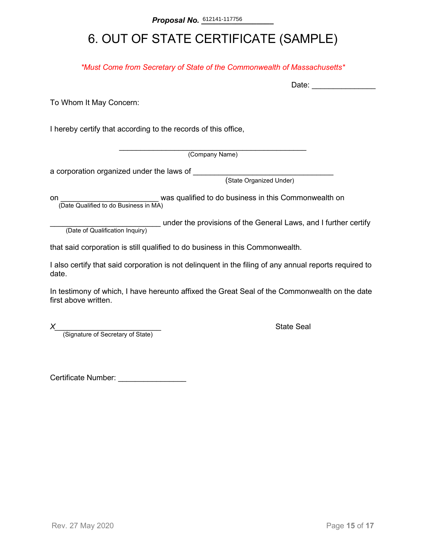# 6. OUT OF STATE CERTIFICATE (SAMPLE)

*\*Must Come from Secretary of State of the Commonwealth of Massachusetts\**

To Whom It May Concern:

I hereby certify that according to the records of this office,

\_\_\_\_\_\_\_\_\_\_\_\_\_\_\_\_\_\_\_\_\_\_\_\_\_\_\_\_\_\_\_\_\_\_\_\_\_\_\_\_\_\_\_\_ (Company Name)

a corporation organized under the laws of \_\_\_\_\_\_\_\_

(State Organized Under)

on **on Example 2** was qualified to do business in this Commonwealth on (Date Qualified to do Business in MA)

(Date of Qualification Inquiry) under the provisions of the General Laws, and I further certify (Date of Qualification Inquiry)

that said corporation is still qualified to do business in this Commonwealth.

I also certify that said corporation is not delinquent in the filing of any annual reports required to date.

In testimony of which, I have hereunto affixed the Great Seal of the Commonwealth on the date first above written.

*X*<br>(Signature of Secretary of State) **Alternative State Seal State Seal Alternative State** 

Certificate Number: \_\_\_\_\_\_\_\_\_\_\_\_\_\_\_\_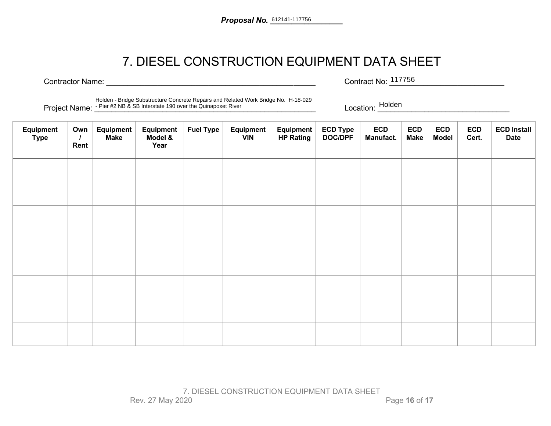# 7. DIESEL CONSTRUCTION EQUIPMENT DATA SHEET

Contractor Name: <u>and the contractor Name:</u>  $\sim$  2001. The contract No:  $\sim$  117756 Contract No: 117756

Project Name: \_<sup>\_Pier #2</sup> NB & SB Interstate 190 over the Quinapoxet River **notice in the context of the Cuinapoxet River** notice the context of the Location: \_\_\_\_\_\_\_\_\_\_\_\_\_\_\_\_\_\_\_\_\_\_\_\_\_\_\_\_\_ Holden - Bridge Substructure Concrete Repairs and Related Work Bridge No. H-18-029

Location: Holden Management Control Management Control Management Control Management Control Management Control Management Control Management Control Management Control Management Control Management Control Management Cont

| Equipment<br><b>Type</b> | Own<br>Rent | Equipment<br><b>Make</b> | Equipment<br>Model &<br>Year | <b>Fuel Type</b> | <b>Equipment</b><br><b>VIN</b> | Equipment<br><b>HP Rating</b> | ECD Type<br>DOC/DPF | <b>ECD</b><br>Manufact. | <b>ECD</b><br><b>Make</b> | <b>ECD</b><br><b>Model</b> | <b>ECD</b><br>Cert. | <b>ECD Install</b><br><b>Date</b> |
|--------------------------|-------------|--------------------------|------------------------------|------------------|--------------------------------|-------------------------------|---------------------|-------------------------|---------------------------|----------------------------|---------------------|-----------------------------------|
|                          |             |                          |                              |                  |                                |                               |                     |                         |                           |                            |                     |                                   |
|                          |             |                          |                              |                  |                                |                               |                     |                         |                           |                            |                     |                                   |
|                          |             |                          |                              |                  |                                |                               |                     |                         |                           |                            |                     |                                   |
|                          |             |                          |                              |                  |                                |                               |                     |                         |                           |                            |                     |                                   |
|                          |             |                          |                              |                  |                                |                               |                     |                         |                           |                            |                     |                                   |
|                          |             |                          |                              |                  |                                |                               |                     |                         |                           |                            |                     |                                   |
|                          |             |                          |                              |                  |                                |                               |                     |                         |                           |                            |                     |                                   |
|                          |             |                          |                              |                  |                                |                               |                     |                         |                           |                            |                     |                                   |